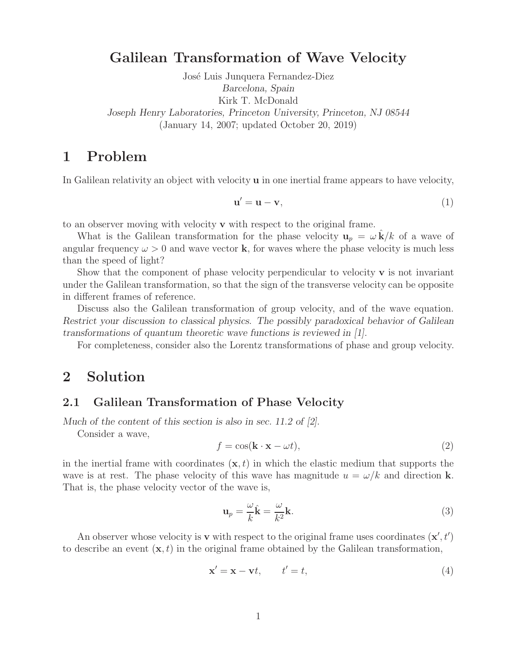## **Galilean Transformation of Wave Velocity**

José Luis Junquera Fernandez-Diez *Barcelona, Spain* Kirk T. McDonald *Joseph Henry Laboratories, Princeton University, Princeton, NJ 08544* (January 14, 2007; updated October 20, 2019)

# **1 Problem**

In Galilean relativity an object with velocity **u** in one inertial frame appears to have velocity,

$$
\mathbf{u}' = \mathbf{u} - \mathbf{v},\tag{1}
$$

to an observer moving with velocity **v** with respect to the original frame.

What is the Galilean transformation for the phase velocity  $\mathbf{u}_p = \omega \mathbf{k}/k$  of a wave of angular frequency  $\omega > 0$  and wave vector **k**, for waves where the phase velocity is much less than the speed of light?

Show that the component of phase velocity perpendicular to velocity  $\bf{v}$  is not invariant under the Galilean transformation, so that the sign of the transverse velocity can be opposite in different frames of reference.

Discuss also the Galilean transformation of group velocity, and of the wave equation. *Restrict your discussion to classical physics. The possibly paradoxical behavior of Galilean transformations of quantum theoretic wave functions is reviewed in [1].*

For completeness, consider also the Lorentz transformations of phase and group velocity.

## **2 Solution**

#### **2.1 Galilean Transformation of Phase Velocity**

*Much of the content of this section is also in sec. 11.2 of [2].*

Consider a wave,

$$
f = \cos(\mathbf{k} \cdot \mathbf{x} - \omega t),\tag{2}
$$

in the inertial frame with coordinates  $(\mathbf{x}, t)$  in which the elastic medium that supports the wave is at rest. The phase velocity of this wave has magnitude  $u = \omega/k$  and direction **k**. That is, the phase velocity vector of the wave is,

$$
\mathbf{u}_p = \frac{\omega}{k}\hat{\mathbf{k}} = \frac{\omega}{k^2}\mathbf{k}.\tag{3}
$$

An observer whose velocity is **v** with respect to the original frame uses coordinates  $(\mathbf{x}', t')$ to describe an event  $(\mathbf{x}, t)$  in the original frame obtained by the Galilean transformation,

$$
\mathbf{x}' = \mathbf{x} - \mathbf{v}t, \qquad t' = t,\tag{4}
$$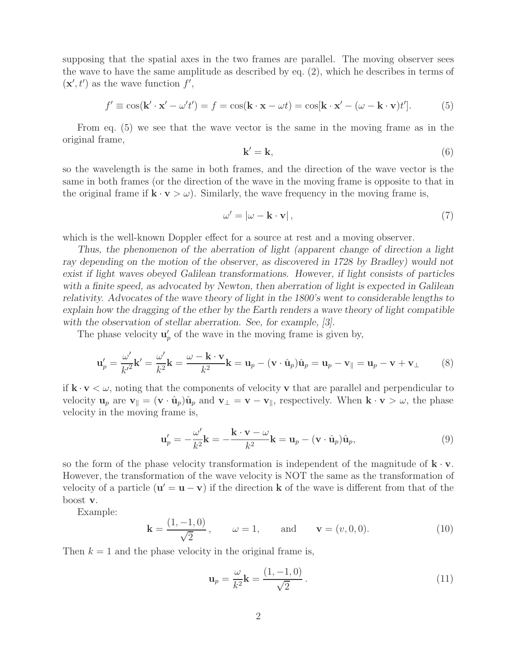supposing that the spatial axes in the two frames are parallel. The moving observer sees the wave to have the same amplitude as described by eq. (2), which he describes in terms of  $(\mathbf{x}', t')$  as the wave function  $f'$ ,

$$
f' \equiv \cos(\mathbf{k}' \cdot \mathbf{x}' - \omega' t') = f = \cos(\mathbf{k} \cdot \mathbf{x} - \omega t) = \cos[\mathbf{k} \cdot \mathbf{x}' - (\omega - \mathbf{k} \cdot \mathbf{v})t'].
$$
 (5)

From eq. (5) we see that the wave vector is the same in the moving frame as in the original frame,

$$
\mathbf{k}' = \mathbf{k},\tag{6}
$$

so the wavelength is the same in both frames, and the direction of the wave vector is the same in both frames (or the direction of the wave in the moving frame is opposite to that in the original frame if  $\mathbf{k} \cdot \mathbf{v} > \omega$ . Similarly, the wave frequency in the moving frame is,

$$
\omega' = |\omega - \mathbf{k} \cdot \mathbf{v}|,\tag{7}
$$

which is the well-known Doppler effect for a source at rest and a moving observer.

*Thus, the phenomenon of the aberration of light (apparent change of direction a light ray depending on the motion of the observer, as discovered in 1728 by Bradley) would not exist if light waves obeyed Galilean transformations. However, if light consists of particles with a finite speed, as advocated by Newton, then aberration of light is expected in Galilean relativity. Advocates of the wave theory of light in the 1800's went to considerable lengths to explain how the dragging of the ether by the Earth renders a wave theory of light compatible with the observation of stellar aberration. See, for example, [3].*

The phase velocity  $\mathbf{u}'_p$  of the wave in the moving frame is given by,

$$
\mathbf{u}'_p = \frac{\omega'}{k'^2} \mathbf{k}' = \frac{\omega'}{k^2} \mathbf{k} = \frac{\omega - \mathbf{k} \cdot \mathbf{v}}{k^2} \mathbf{k} = \mathbf{u}_p - (\mathbf{v} \cdot \hat{\mathbf{u}}_p) \hat{\mathbf{u}}_p = \mathbf{u}_p - \mathbf{v} + \mathbf{v}_\perp \tag{8}
$$

if  $\mathbf{k} \cdot \mathbf{v} \leq \omega$ , noting that the components of velocity **v** that are parallel and perpendicular to velocity  $\mathbf{u}_p$  are  $\mathbf{v}_{\parallel} = (\mathbf{v} \cdot \hat{\mathbf{u}}_p)\hat{\mathbf{u}}_p$  and  $\mathbf{v}_{\perp} = \mathbf{v} - \mathbf{v}_{\parallel}$ , respectively. When  $\mathbf{k} \cdot \mathbf{v} > \omega$ , the phase velocity in the moving frame is,

$$
\mathbf{u}'_p = -\frac{\omega'}{k^2} \mathbf{k} = -\frac{\mathbf{k} \cdot \mathbf{v} - \omega}{k^2} \mathbf{k} = \mathbf{u}_p - (\mathbf{v} \cdot \hat{\mathbf{u}}_p) \hat{\mathbf{u}}_p, \tag{9}
$$

so the form of the phase velocity transformation is independent of the magnitude of  $\mathbf{k} \cdot \mathbf{v}$ . However, the transformation of the wave velocity is NOT the same as the transformation of velocity of a particle  $(\mathbf{u}' = \mathbf{u} - \mathbf{v})$  if the direction **k** of the wave is different from that of the boost **v**.

Example:

$$
\mathbf{k} = \frac{(1, -1, 0)}{\sqrt{2}}, \qquad \omega = 1, \qquad \text{and} \qquad \mathbf{v} = (v, 0, 0). \tag{10}
$$

Then  $k = 1$  and the phase velocity in the original frame is,

$$
\mathbf{u}_p = \frac{\omega}{k^2} \mathbf{k} = \frac{(1, -1, 0)}{\sqrt{2}}.
$$
 (11)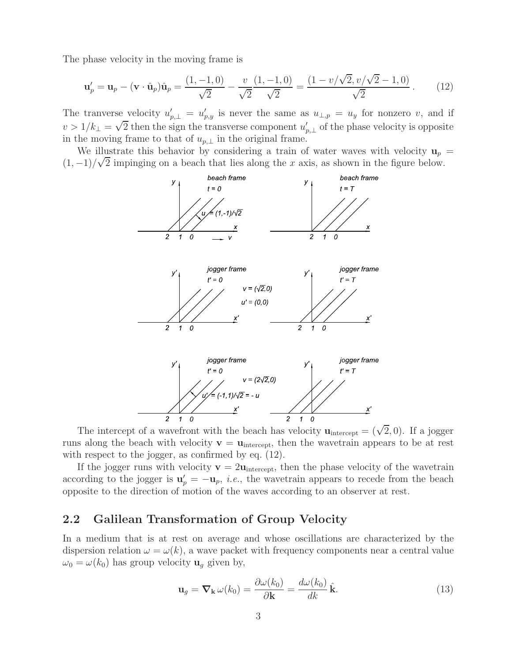The phase velocity in the moving frame is

$$
\mathbf{u}'_p = \mathbf{u}_p - (\mathbf{v} \cdot \hat{\mathbf{u}}_p)\hat{\mathbf{u}}_p = \frac{(1, -1, 0)}{\sqrt{2}} - \frac{v}{\sqrt{2}}\frac{(1, -1, 0)}{\sqrt{2}} = \frac{(1 - v/\sqrt{2}, v/\sqrt{2} - 1, 0)}{\sqrt{2}}.
$$
 (12)

The tranverse velocity  $u'_{p,\perp} = u'_{p,y}$  is never the same as  $u_{\perp,p} = u_y$  for nonzero v, and if  $v > 1/k_{\perp} = \sqrt{2}$  then the sign the transverse component  $u'_p$  *p,*<sup>⊥</sup> of the phase velocity is opposite in the moving frame to that of  $u_{p,\perp}$  in the original frame.

We illustrate this behavior by considering a train of water waves with velocity  $\mathbf{u}_p =$  $(1, -1)/\sqrt{2}$  impinging on a beach that lies along the x axis, as shown in the figure below.



The intercept of a wavefront with the beach has velocity  $\mathbf{u}_{\text{intercept}} = (\sqrt{2}, 0)$ . If a jogger runs along the beach with velocity  $\mathbf{v} = \mathbf{u}_{\text{intercept}}$ , then the wavetrain appears to be at rest with respect to the jogger, as confirmed by eq. (12).

If the jogger runs with velocity  $\mathbf{v} = 2\mathbf{u}_{\text{intercept}}$ , then the phase velocity of the wavetrain according to the jogger is  $\mathbf{u}'_p = -\mathbf{u}_p$ , *i.e.*, the wavetrain appears to recede from the beach appears to the direction of metrics of the waves according to an observer at rest opposite to the direction of motion of the waves according to an observer at rest.

## **2.2 Galilean Transformation of Group Velocity**

In a medium that is at rest on average and whose oscillations are characterized by the dispersion relation  $\omega = \omega(k)$ , a wave packet with frequency components near a central value  $\omega_0 = \omega(k_0)$  has group velocity  $\mathbf{u}_g$  given by,

$$
\mathbf{u}_g = \nabla_{\mathbf{k}} \,\omega(k_0) = \frac{\partial \omega(k_0)}{\partial \mathbf{k}} = \frac{d\omega(k_0)}{dk} \,\hat{\mathbf{k}}.\tag{13}
$$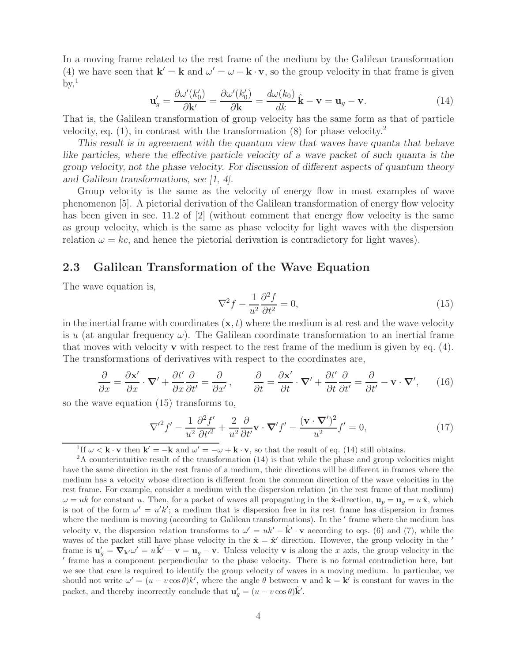In a moving frame related to the rest frame of the medium by the Galilean transformation (4) we have seen that  $\mathbf{k}' = \mathbf{k}$  and  $\omega' = \omega - \mathbf{k} \cdot \mathbf{v}$ , so the group velocity in that frame is given  $\mathrm{bv}^1$ 

$$
\mathbf{u}'_g = \frac{\partial \omega'(k'_0)}{\partial \mathbf{k}'} = \frac{\partial \omega'(k'_0)}{\partial \mathbf{k}} = \frac{d\omega(k_0)}{dk} \hat{\mathbf{k}} - \mathbf{v} = \mathbf{u}_g - \mathbf{v}.
$$
 (14)

That is, the Galilean transformation of group velocity has the same form as that of particle velocity, eq.  $(1)$ , in contrast with the transformation  $(8)$  for phase velocity.<sup>2</sup>

*This result is in agreement with the quantum view that waves have quanta that behave like particles, where the effective particle velocity of a wave packet of such quanta is the group velocity, not the phase velocity. For discussion of different aspects of quantum theory and Galilean transformations, see [1, 4].*

Group velocity is the same as the velocity of energy flow in most examples of wave phenomenon [5]. A pictorial derivation of the Galilean transformation of energy flow velocity has been given in sec. 11.2 of [2] (without comment that energy flow velocity is the same as group velocity, which is the same as phase velocity for light waves with the dispersion relation  $\omega = kc$ , and hence the pictorial derivation is contradictory for light waves).

## **2.3 Galilean Transformation of the Wave Equation**

The wave equation is,

$$
\nabla^2 f - \frac{1}{u^2} \frac{\partial^2 f}{\partial t^2} = 0,\tag{15}
$$

in the inertial frame with coordinates  $(\mathbf{x}, t)$  where the medium is at rest and the wave velocity is u (at angular frequency  $\omega$ ). The Galilean coordinate transformation to an inertial frame that moves with velocity **v** with respect to the rest frame of the medium is given by eq. (4). The transformations of derivatives with respect to the coordinates are,

$$
\frac{\partial}{\partial x} = \frac{\partial \mathbf{x}'}{\partial x} \cdot \mathbf{\nabla}' + \frac{\partial t'}{\partial x} \frac{\partial}{\partial t'} = \frac{\partial}{\partial x'}, \qquad \frac{\partial}{\partial t} = \frac{\partial \mathbf{x}'}{\partial t} \cdot \mathbf{\nabla}' + \frac{\partial t'}{\partial t} \frac{\partial}{\partial t'} = \frac{\partial}{\partial t'} - \mathbf{v} \cdot \mathbf{\nabla}', \qquad (16)
$$

so the wave equation (15) transforms to,

$$
\nabla'^{2} f' - \frac{1}{u^{2}} \frac{\partial^{2} f'}{\partial t'^{2}} + \frac{2}{u^{2}} \frac{\partial}{\partial t'} \mathbf{v} \cdot \nabla' f' - \frac{(\mathbf{v} \cdot \nabla')^{2}}{u^{2}} f' = 0,
$$
\n(17)

<sup>1</sup>If  $\omega < \mathbf{k} \cdot \mathbf{v}$  then  $\mathbf{k}' = -\mathbf{k}$  and  $\omega' = -\omega + \mathbf{k} \cdot \mathbf{v}$ , so that the result of eq. (14) still obtains.

<sup>2</sup>A counterintuitive result of the transformation (14) is that while the phase and group velocities might have the same direction in the rest frame of a medium, their directions will be different in frames where the medium has a velocity whose direction is different from the common direction of the wave velocities in the rest frame. For example, consider a medium with the dispersion relation (in the rest frame of that medium)  $\omega = uk$  for constant u. Then, for a packet of waves all propagating in the  $\hat{\mathbf{x}}$ -direction,  $\mathbf{u}_p = \mathbf{u}_q = u\hat{\mathbf{x}}$ , which is not of the form  $\omega' = u'k'$ ; a medium that is dispersion free in its rest frame has dispersion in frames where the medium is moving (according to Galilean transformations). In the 'frame where the medium has velocity **v**, the dispersion relation transforms to  $\omega' = uk' - \hat{k}' \cdot v$  according to eqs. (6) and (7), while the waves of the packet still have phase velocity in the  $\hat{\mathbf{x}} = \hat{\mathbf{x}}'$  direction. However, the group velocity in the ' frame is  $\mathbf{u}'_g = \nabla_{\mathbf{k}'} \omega' = u \hat{\mathbf{k}}' - \mathbf{v} = \mathbf{u}_g - \mathbf{v}$ . Unless velocity **v** is along the x axis, the group velocity in the  $'$  frame has a component perpendicular to the phase velocity. There is no formal cont frame has a component perpendicular to the phase velocity. There is no formal contradiction here, but we see that care is required to identify the group velocity of waves in a moving medium. In particular, we should not write  $\omega' = (u - v \cos \theta)k'$ , where the angle  $\theta$  between **v** and **k** = **k**<sup>*i*</sup> is constant for waves in the packet, and thereby incorrectly conclude that  $\mathbf{u}'_g = (u - v \cos \theta) \hat{\mathbf{k}}'.$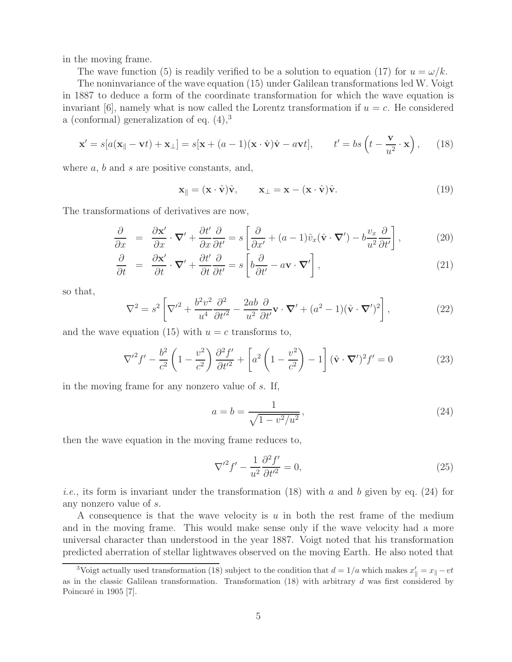in the moving frame.

The wave function (5) is readily verified to be a solution to equation (17) for  $u = \omega/k$ .

The noninvariance of the wave equation (15) under Galilean transformations led W. Voigt in 1887 to deduce a form of the coordinate transformation for which the wave equation is invariant [6], namely what is now called the Lorentz transformation if  $u = c$ . He considered a (conformal) generalization of eq.  $(4)$ ,<sup>3</sup>

$$
\mathbf{x}' = s[a(\mathbf{x}_{\parallel} - \mathbf{v}t) + \mathbf{x}_{\perp}] = s[\mathbf{x} + (a-1)(\mathbf{x} \cdot \hat{\mathbf{v}})\hat{\mathbf{v}} - a\mathbf{v}t], \qquad t' = bs\left(t - \frac{\mathbf{v}}{u^2} \cdot \mathbf{x}\right), \qquad (18)
$$

where  $a, b$  and  $s$  are positive constants, and,

$$
\mathbf{x}_{\parallel} = (\mathbf{x} \cdot \hat{\mathbf{v}})\hat{\mathbf{v}}, \qquad \mathbf{x}_{\perp} = \mathbf{x} - (\mathbf{x} \cdot \hat{\mathbf{v}})\hat{\mathbf{v}}.
$$
 (19)

The transformations of derivatives are now,

$$
\frac{\partial}{\partial x} = \frac{\partial \mathbf{x}'}{\partial x} \cdot \mathbf{\nabla}' + \frac{\partial t'}{\partial x} \frac{\partial}{\partial t'} = s \left[ \frac{\partial}{\partial x'} + (a-1)\hat{v}_x(\hat{\mathbf{v}} \cdot \mathbf{\nabla}') - b \frac{v_x}{u^2} \frac{\partial}{\partial t'} \right],\tag{20}
$$

$$
\frac{\partial}{\partial t} = \frac{\partial \mathbf{x}'}{\partial t} \cdot \mathbf{\nabla}' + \frac{\partial t'}{\partial t} \frac{\partial}{\partial t'} = s \left[ b \frac{\partial}{\partial t'} - a \mathbf{v} \cdot \mathbf{\nabla}' \right],\tag{21}
$$

so that,

$$
\nabla^2 = s^2 \left[ \nabla'^2 + \frac{b^2 v^2}{u^4} \frac{\partial^2}{\partial t'^2} - \frac{2ab}{u^2} \frac{\partial}{\partial t'} \mathbf{v} \cdot \nabla' + (a^2 - 1)(\hat{\mathbf{v}} \cdot \nabla')^2 \right],\tag{22}
$$

and the wave equation (15) with  $u = c$  transforms to,

$$
\nabla'^{2} f' - \frac{b^{2}}{c^{2}} \left( 1 - \frac{v^{2}}{c^{2}} \right) \frac{\partial^{2} f'}{\partial t'^{2}} + \left[ a^{2} \left( 1 - \frac{v^{2}}{c^{2}} \right) - 1 \right] (\hat{\mathbf{v}} \cdot \nabla')^{2} f' = 0 \tag{23}
$$

in the moving frame for any nonzero value of s. If,

$$
a = b = \frac{1}{\sqrt{1 - v^2 / u^2}},
$$
\n(24)

then the wave equation in the moving frame reduces to,

$$
\nabla'^2 f' - \frac{1}{u^2} \frac{\partial^2 f'}{\partial t'^2} = 0,
$$
\n(25)

*i.e.*, its form is invariant under the transformation  $(18)$  with a and b given by eq.  $(24)$  for any nonzero value of s.

A consequence is that the wave velocity is  $u$  in both the rest frame of the medium and in the moving frame. This would make sense only if the wave velocity had a more universal character than understood in the year 1887. Voigt noted that his transformation predicted aberration of stellar lightwaves observed on the moving Earth. He also noted that

<sup>&</sup>lt;sup>3</sup>Voigt actually used transformation (18) subject to the condition that  $d = 1/a$  which makes  $x'_{\parallel} = x_{\parallel} - vt$ as in the classic Galilean transformation. Transformation  $(18)$  with arbitrary d was first considered by Poincaré in 1905 [7].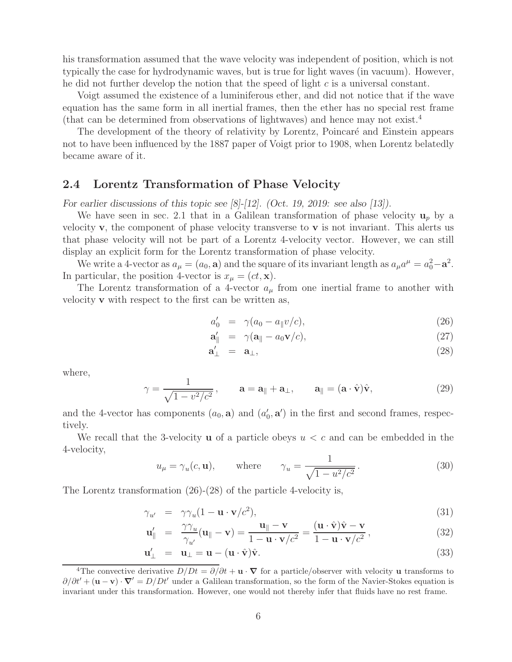his transformation assumed that the wave velocity was independent of position, which is not typically the case for hydrodynamic waves, but is true for light waves (in vacuum). However, he did not further develop the notion that the speed of light c is a universal constant.

Voigt assumed the existence of a luminiferous ether, and did not notice that if the wave equation has the same form in all inertial frames, then the ether has no special rest frame (that can be determined from observations of lightwaves) and hence may not exist.<sup>4</sup>

The development of the theory of relativity by Lorentz, Poincaré and Einstein appears not to have been influenced by the 1887 paper of Voigt prior to 1908, when Lorentz belatedly became aware of it.

## **2.4 Lorentz Transformation of Phase Velocity**

*For earlier discussions of this topic see [8]-[12]. (Oct. 19, 2019: see also [13]).*

We have seen in sec. 2.1 that in a Galilean transformation of phase velocity  $\mathbf{u}_p$  by a velocity **v**, the component of phase velocity transverse to **v** is not invariant. This alerts us that phase velocity will not be part of a Lorentz 4-velocity vector. However, we can still display an explicit form for the Lorentz transformation of phase velocity.

We write a 4-vector as  $a_{\mu} = (a_0, \mathbf{a})$  and the square of its invariant length as  $a_{\mu}a^{\mu} = a_0^2 - \mathbf{a}^2$ . In particular, the position 4-vector is  $x_{\mu} = (ct, \mathbf{x})$ .

The Lorentz transformation of a 4-vector  $a_{\mu}$  from one inertial frame to another with velocity **v** with respect to the first can be written as,

$$
a'_0 = \gamma (a_0 - a_{\parallel} v/c), \qquad (26)
$$

$$
\mathbf{a}'_{\parallel} = \gamma (\mathbf{a}_{\parallel} - a_0 \mathbf{v}/c), \qquad (27)
$$

$$
\mathbf{a}'_{\perp} = \mathbf{a}_{\perp}, \tag{28}
$$

where,

$$
\gamma = \frac{1}{\sqrt{1 - v^2/c^2}}, \qquad \mathbf{a} = \mathbf{a}_{\parallel} + \mathbf{a}_{\perp}, \qquad \mathbf{a}_{\parallel} = (\mathbf{a} \cdot \hat{\mathbf{v}})\hat{\mathbf{v}}, \tag{29}
$$

and the 4-vector has components  $(a_0, \mathbf{a})$  and  $(a'_0, \mathbf{a}')$  in the first and second frames, respectively.

We recall that the 3-velocity **u** of a particle obeys  $u < c$  and can be embedded in the 4-velocity,

$$
u_{\mu} = \gamma_u(c, \mathbf{u}), \qquad \text{where} \qquad \gamma_u = \frac{1}{\sqrt{1 - u^2/c^2}}. \tag{30}
$$

The Lorentz transformation (26)-(28) of the particle 4-velocity is,

$$
\gamma_{u'} = \gamma \gamma_u (1 - \mathbf{u} \cdot \mathbf{v}/c^2), \tag{31}
$$

$$
\mathbf{u}'_{\parallel} = \frac{\gamma \gamma_u}{\gamma_{u'}} (\mathbf{u}_{\parallel} - \mathbf{v}) = \frac{\mathbf{u}_{\parallel} - \mathbf{v}}{1 - \mathbf{u} \cdot \mathbf{v}/c^2} = \frac{(\mathbf{u} \cdot \hat{\mathbf{v}}) \hat{\mathbf{v}} - \mathbf{v}}{1 - \mathbf{u} \cdot \mathbf{v}/c^2},
$$
(32)

$$
\mathbf{u}'_{\perp} = \mathbf{u}_{\perp} = \mathbf{u} - (\mathbf{u} \cdot \hat{\mathbf{v}})\hat{\mathbf{v}}.
$$
 (33)

<sup>&</sup>lt;sup>4</sup>The convective derivative  $D/Dt = \partial/\partial t + \mathbf{u} \cdot \nabla$  for a particle/observer with velocity **u** transforms to  $\partial/\partial t' + (\mathbf{u} - \mathbf{v}) \cdot \nabla' = D/Dt'$  under a Galilean transformation, so the form of the Navier-Stokes equation is invariant under this transformation. However, one would not thereby infer that fluids have no rest frame.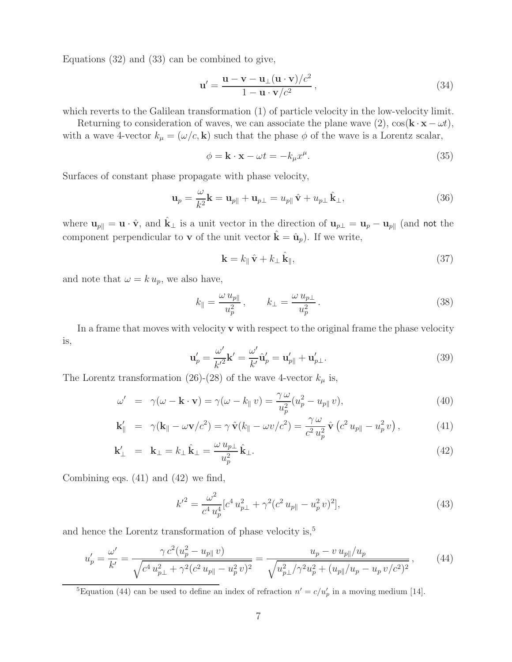Equations (32) and (33) can be combined to give,

$$
\mathbf{u}' = \frac{\mathbf{u} - \mathbf{v} - \mathbf{u}_{\perp}(\mathbf{u} \cdot \mathbf{v})/c^2}{1 - \mathbf{u} \cdot \mathbf{v}/c^2},
$$
(34)

which reverts to the Galilean transformation (1) of particle velocity in the low-velocity limit.

Returning to consideration of waves, we can associate the plane wave  $(2)$ ,  $\cos(\mathbf{k} \cdot \mathbf{x} - \omega t)$ , with a wave 4-vector  $k_{\mu} = (\omega/c, \mathbf{k})$  such that the phase  $\phi$  of the wave is a Lorentz scalar,

$$
\phi = \mathbf{k} \cdot \mathbf{x} - \omega t = -k_{\mu} x^{\mu}.
$$
\n(35)

Surfaces of constant phase propagate with phase velocity,

$$
\mathbf{u}_p = \frac{\omega}{k^2} \mathbf{k} = \mathbf{u}_{p\parallel} + \mathbf{u}_{p\perp} = u_{p\parallel} \hat{\mathbf{v}} + u_{p\perp} \hat{\mathbf{k}}_{\perp},
$$
\n(36)

where  $\mathbf{u}_{p\parallel} = \mathbf{u} \cdot \hat{\mathbf{v}}$ , and  $\hat{\mathbf{k}}_{\perp}$  is a unit vector in the direction of  $\mathbf{u}_{p\perp} = \mathbf{u}_p - \mathbf{u}_{p\parallel}$  (and not the component perpendicular to **v** of the unit vector  $\hat{\mathbf{k}} = \hat{\mathbf{u}}_p$ ). If we write,

$$
\mathbf{k} = k_{\parallel} \hat{\mathbf{v}} + k_{\perp} \hat{\mathbf{k}}_{\parallel},\tag{37}
$$

and note that  $\omega = k u_p$ , we also have,

$$
k_{\parallel} = \frac{\omega u_{p\parallel}}{u_p^2}, \qquad k_{\perp} = \frac{\omega u_{p\perp}}{u_p^2}.
$$
 (38)

In a frame that moves with velocity **v** with respect to the original frame the phase velocity is,

$$
\mathbf{u}'_p = \frac{\omega'}{k'^2} \mathbf{k}' = \frac{\omega'}{k'} \hat{\mathbf{u}}'_p = \mathbf{u}'_{p\parallel} + \mathbf{u}'_{p\perp}.
$$
 (39)

The Lorentz transformation (26)-(28) of the wave 4-vector  $k_{\mu}$  is,

$$
\omega' = \gamma(\omega - \mathbf{k} \cdot \mathbf{v}) = \gamma(\omega - k_{\parallel} v) = \frac{\gamma \omega}{u_p^2} (u_p^2 - u_{p\parallel} v), \tag{40}
$$

$$
\mathbf{k}'_{\parallel} = \gamma (\mathbf{k}_{\parallel} - \omega \mathbf{v}/c^2) = \gamma \,\hat{\mathbf{v}}(k_{\parallel} - \omega v/c^2) = \frac{\gamma \,\omega}{c^2 \,u_p^2} \,\hat{\mathbf{v}} \left(c^2 \,u_{p\parallel} - u_p^2 \,v\right),\tag{41}
$$

$$
\mathbf{k}'_{\perp} = \mathbf{k}_{\perp} = k_{\perp} \hat{\mathbf{k}}_{\perp} = \frac{\omega u_{p\perp}}{u_p^2} \hat{\mathbf{k}}_{\perp}.
$$
 (42)

Combining eqs. (41) and (42) we find,

$$
k'^2 = \frac{\omega^2}{c^4 u_p^4} [c^4 u_{p\perp}^2 + \gamma^2 (c^2 u_{p\parallel} - u_p^2 v)^2],\tag{43}
$$

and hence the Lorentz transformation of phase velocity is,<sup>5</sup>

$$
u'_{p} = \frac{\omega'}{k'} = \frac{\gamma c^{2} (u_{p}^{2} - u_{p\parallel} v)}{\sqrt{c^{4} u_{p\perp}^{2} + \gamma^{2} (c^{2} u_{p\parallel} - u_{p}^{2} v)^{2}}} = \frac{u_{p} - v u_{p\parallel}/u_{p}}{\sqrt{u_{p\perp}^{2} / \gamma^{2} u_{p}^{2} + (u_{p\parallel}/u_{p} - u_{p} v/c^{2})^{2}}},
$$
(44)

<sup>5</sup>Equation (44) can be used to define an index of refraction  $n' = c/u_p'$  in a moving medium [14].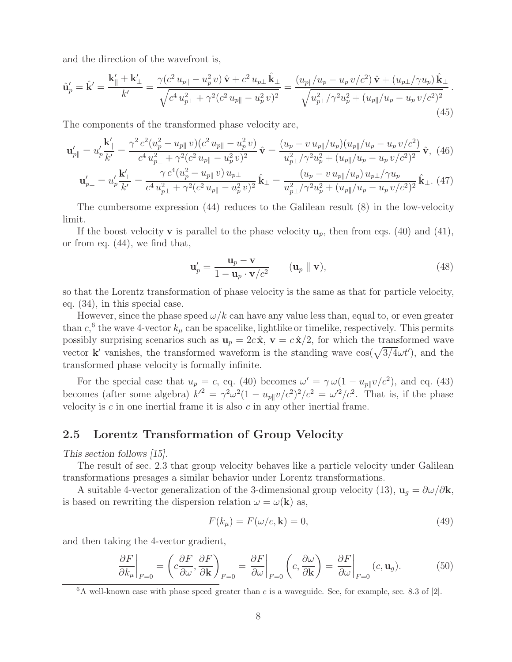and the direction of the wavefront is,

$$
\hat{\mathbf{u}}_p' = \hat{\mathbf{k}}' = \frac{\mathbf{k}_\parallel' + \mathbf{k}_\perp'}{k'} = \frac{\gamma(c^2 u_{p\parallel} - u_p^2 v) \hat{\mathbf{v}} + c^2 u_{p\perp} \hat{\mathbf{k}}_\perp}{\sqrt{c^4 u_{p\perp}^2 + \gamma^2 (c^2 u_{p\parallel} - u_p^2 v)^2}} = \frac{(u_{p\parallel}/u_p - u_p v/c^2) \hat{\mathbf{v}} + (u_{p\perp}/\gamma u_p) \hat{\mathbf{k}}_\perp}{\sqrt{u_{p\perp}^2 / \gamma^2 u_p^2 + (u_{p\parallel}/u_p - u_p v/c^2)^2}}.
$$
\n(45)

The components of the transformed phase velocity are,

$$
\mathbf{u}'_{p\parallel} = u'_p \frac{\mathbf{k}'_{\parallel}}{k'} = \frac{\gamma^2 c^2 (u_p^2 - u_{p\parallel} v)(c^2 u_{p\parallel} - u_p^2 v)}{c^4 u_{p\perp}^2 + \gamma^2 (c^2 u_{p\parallel} - u_p^2 v)^2} \hat{\mathbf{v}} = \frac{(u_p - v u_{p\parallel}/u_p)(u_{p\parallel}/u_p - u_p v/c^2)}{u_{p\perp}^2 / \gamma^2 u_p^2 + (u_{p\parallel}/u_p - u_p v/c^2)^2} \hat{\mathbf{v}}, \tag{46}
$$

$$
\mathbf{u}'_{p\perp} = u'_p \frac{\mathbf{k}'_\perp}{k'} = \frac{\gamma c^4 (u_p^2 - u_{p\parallel} v) u_{p\perp}}{c^4 u_{p\perp}^2 + \gamma^2 (c^2 u_{p\parallel} - u_p^2 v)^2} \hat{\mathbf{k}}_\perp = \frac{(u_p - v u_{p\parallel}/u_p) u_{p\perp} / \gamma u_p}{u_{p\perp}^2 / \gamma^2 u_p^2 + (u_{p\parallel}/u_p - u_p v/c^2)^2} \hat{\mathbf{k}}_\perp.
$$
(47)

The cumbersome expression (44) reduces to the Galilean result (8) in the low-velocity limit.

If the boost velocity **v** is parallel to the phase velocity  $\mathbf{u}_p$ , then from eqs. (40) and (41), or from eq. (44), we find that,

$$
\mathbf{u}'_p = \frac{\mathbf{u}_p - \mathbf{v}}{1 - \mathbf{u}_p \cdot \mathbf{v}/c^2} \qquad (\mathbf{u}_p \parallel \mathbf{v}), \qquad (48)
$$

so that the Lorentz transformation of phase velocity is the same as that for particle velocity, eq. (34), in this special case.

However, since the phase speed  $\omega/k$  can have any value less than, equal to, or even greater than  $c$ ,<sup>6</sup> the wave 4-vector  $k_{\mu}$  can be spacelike, lightlike or timelike, respectively. This permits possibly surprising scenarios such as  $\mathbf{u}_p = 2c\hat{\mathbf{x}}, \mathbf{v} = c\hat{\mathbf{x}}/2$ , for which the transformed wave vector **k**' vanishes, the transformed waveform is the standing wave  $\cos(\sqrt{3/4\omega t'})$ , and the transformed phase velocity is formally infinite.

For the special case that  $u_p = c$ , eq. (40) becomes  $\omega' = \gamma \omega (1 - u_{p\parallel} v/c^2)$ , and eq. (43) becomes (after some algebra)  $k'^2 = \gamma^2 \omega^2 (1 - u_{p\parallel} v/c^2)^2/c^2 = \omega'^2/c^2$ . That is, if the phase velocity is  $c$  in one inertial frame it is also  $c$  in any other inertial frame.

### **2.5 Lorentz Transformation of Group Velocity**

*This section follows [15].*

The result of sec. 2.3 that group velocity behaves like a particle velocity under Galilean transformations presages a similar behavior under Lorentz transformations.

A suitable 4-vector generalization of the 3-dimensional group velocity (13),  $\mathbf{u}_q = \partial \omega / \partial \mathbf{k}$ , is based on rewriting the dispersion relation  $\omega = \omega(\mathbf{k})$  as,

$$
F(k_{\mu}) = F(\omega/c, \mathbf{k}) = 0,
$$
\n(49)

and then taking the 4-vector gradient,

$$
\left. \frac{\partial F}{\partial k_{\mu}} \right|_{F=0} = \left( c \frac{\partial F}{\partial \omega}, \frac{\partial F}{\partial \mathbf{k}} \right)_{F=0} = \left. \frac{\partial F}{\partial \omega} \right|_{F=0} \left( c, \frac{\partial \omega}{\partial \mathbf{k}} \right) = \left. \frac{\partial F}{\partial \omega} \right|_{F=0} (c, \mathbf{u}_g). \tag{50}
$$

 $6A$  well-known case with phase speed greater than c is a waveguide. See, for example, sec. 8.3 of [2].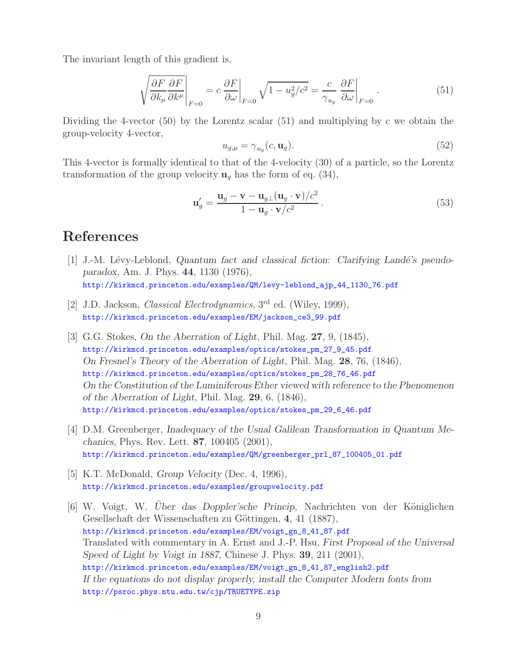The invariant length of this gradient is,

$$
\sqrt{\frac{\partial F}{\partial k_{\mu}} \frac{\partial F}{\partial k^{\mu}}} \bigg|_{F=0} = c \frac{\partial F}{\partial \omega} \bigg|_{F=0} \sqrt{1 - u_g^2/c^2} = \frac{c}{\gamma_{u_g}} \frac{\partial F}{\partial \omega} \bigg|_{F=0} . \tag{51}
$$

Dividing the 4-vector (50) by the Lorentz scalar (51) and multiplying by c we obtain the group-velocity 4-vector,

$$
u_{g,\mu} = \gamma_{u_g}(c, \mathbf{u}_g). \tag{52}
$$

This 4-vector is formally identical to that of the 4-velocity (30) of a particle, so the Lorentz transformation of the group velocity  $\mathbf{u}_q$  has the form of eq. (34),

$$
\mathbf{u}'_g = \frac{\mathbf{u}_g - \mathbf{v} - \mathbf{u}_{g\perp}(\mathbf{u}_g \cdot \mathbf{v})/c^2}{1 - \mathbf{u}_g \cdot \mathbf{v}/c^2}.
$$
 (53)

# **References**

- [1] J.-M. Lévy-Leblond, *Quantum fact and classical fiction: Clarifying Landé's pseudoparadox*, Am. J. Phys. **44**, 1130 (1976), http://kirkmcd.princeton.edu/examples/QM/levy-leblond\_ajp\_44\_1130\_76.pdf
- [2] J.D. Jackson, *Classical Electrodynamics*, 3rd ed. (Wiley, 1999), http://kirkmcd.princeton.edu/examples/EM/jackson\_ce3\_99.pdf
- [3] G.G. Stokes, *On the Aberration of Light*, Phil. Mag. **27**, 9, (1845), http://kirkmcd.princeton.edu/examples/optics/stokes\_pm\_27\_9\_45.pdf *On Fresnel's Theory of the Aberration of Light*, Phil. Mag. **28**, 76, (1846), http://kirkmcd.princeton.edu/examples/optics/stokes\_pm\_28\_76\_46.pdf *On the Constitution of the Luminiferous Ether viewed with reference to the Phenomenon of the Aberration of Light*, Phil. Mag. **29**, 6, (1846), http://kirkmcd.princeton.edu/examples/optics/stokes\_pm\_29\_6\_46.pdf
- [4] D.M. Greenberger, *Inadequacy of the Usual Galilean Transformation in Quantum Mechanics*, Phys. Rev. Lett. **87**, 100405 (2001), http://kirkmcd.princeton.edu/examples/QM/greenberger\_prl\_87\_100405\_01.pdf
- [5] K.T. McDonald, *Group Velocity* (Dec. 4, 1996), http://kirkmcd.princeton.edu/examples/groupvelocity.pdf
- [6] W. Voigt, W. *Uber das Doppler'sche Princip*, Nachrichten von der Königlichen Gesellschaft der Wissenschaften zu Göttingen, 4, 41 (1887), http://kirkmcd.princeton.edu/examples/EM/voigt\_gn\_8\_41\_87.pdf Translated with commentary in A. Ernst and J.-P. Hsu, *First Proposal of the Universal Speed of Light by Voigt in 1887*, Chinese J. Phys. **39**, 211 (2001), http://kirkmcd.princeton.edu/examples/EM/voigt\_gn\_8\_41\_87\_english2.pdf *If the equations do not display properly, install the Computer Modern fonts from* http://psroc.phys.ntu.edu.tw/cjp/TRUETYPE.zip